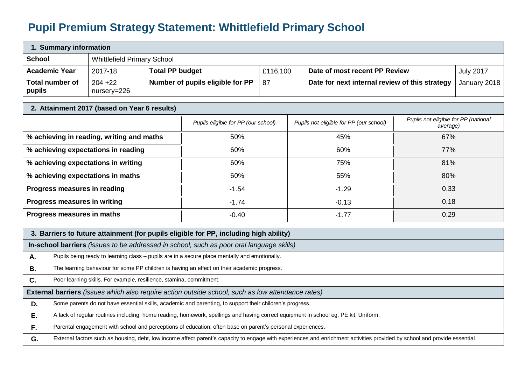## **Pupil Premium Strategy Statement: Whittlefield Primary School**

| 1. Summary information    |                                    |                                  |          |                                                |                  |  |
|---------------------------|------------------------------------|----------------------------------|----------|------------------------------------------------|------------------|--|
| <b>School</b>             | <b>Whittlefield Primary School</b> |                                  |          |                                                |                  |  |
| <b>Academic Year</b>      | 2017-18                            | <b>Total PP budget</b>           | £116,100 | Date of most recent PP Review                  | <b>July 2017</b> |  |
| Total number of<br>pupils | $204 + 22$<br>nursery=226          | Number of pupils eligible for PP | -87      | Date for next internal review of this strategy | January 2018     |  |

| 2. Attainment 2017 (based on Year 6 results) |                                     |                                         |                                                  |  |  |
|----------------------------------------------|-------------------------------------|-----------------------------------------|--------------------------------------------------|--|--|
|                                              | Pupils eligible for PP (our school) | Pupils not eligible for PP (our school) | Pupils not eligible for PP (national<br>average) |  |  |
| % achieving in reading, writing and maths    | 50%                                 | 45%                                     | 67%                                              |  |  |
| % achieving expectations in reading          | 60%                                 | 60%                                     | 77%                                              |  |  |
| % achieving expectations in writing          | 60%                                 | 75%                                     | 81%                                              |  |  |
| % achieving expectations in maths            | 60%                                 | 55%                                     | 80%                                              |  |  |
| Progress measures in reading                 | $-1.54$                             | $-1.29$                                 | 0.33                                             |  |  |
| Progress measures in writing                 | $-1.74$                             | $-0.13$                                 | 0.18                                             |  |  |
| Progress measures in maths                   | $-0.40$                             | $-1.77$                                 | 0.29                                             |  |  |

|           | 3. Barriers to future attainment (for pupils eligible for PP, including high ability)                                                                                     |  |  |  |  |
|-----------|---------------------------------------------------------------------------------------------------------------------------------------------------------------------------|--|--|--|--|
|           | In-school barriers (issues to be addressed in school, such as poor oral language skills)                                                                                  |  |  |  |  |
| Α.        | Pupils being ready to learning class - pupils are in a secure place mentally and emotionally.                                                                             |  |  |  |  |
| <b>B.</b> | The learning behaviour for some PP children is having an effect on their academic progress.                                                                               |  |  |  |  |
| C.        | Poor learning skills. For example, resilience, stamina, commitment.                                                                                                       |  |  |  |  |
|           | External barriers (issues which also require action outside school, such as low attendance rates)                                                                         |  |  |  |  |
| D.        | Some parents do not have essential skills, academic and parenting, to support their children's progress.                                                                  |  |  |  |  |
| Ε.        | A lack of regular routines including; home reading, homework, spellings and having correct equipment in school eg. PE kit, Uniform.                                       |  |  |  |  |
| F.        | Parental engagement with school and perceptions of education; often base on parent's personal experiences.                                                                |  |  |  |  |
| G.        | External factors such as housing, debt, low income affect parent's capacity to engage with experiences and enrichment activities provided by school and provide essential |  |  |  |  |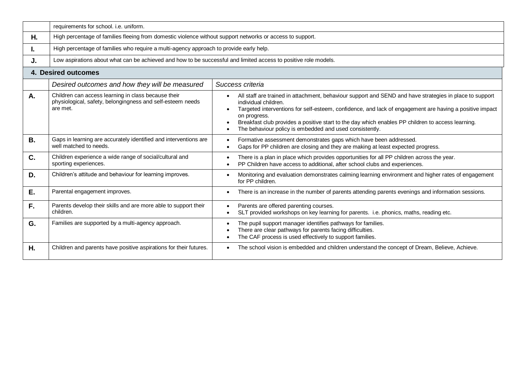|           | requirements for school. i.e. uniform.                                                                                        |                                                                                                                                                                                                                                                                                                                                                                                                                            |  |  |  |
|-----------|-------------------------------------------------------------------------------------------------------------------------------|----------------------------------------------------------------------------------------------------------------------------------------------------------------------------------------------------------------------------------------------------------------------------------------------------------------------------------------------------------------------------------------------------------------------------|--|--|--|
| Η.        | High percentage of families fleeing from domestic violence without support networks or access to support.                     |                                                                                                                                                                                                                                                                                                                                                                                                                            |  |  |  |
| ı.        | High percentage of families who require a multi-agency approach to provide early help.                                        |                                                                                                                                                                                                                                                                                                                                                                                                                            |  |  |  |
| J.        | Low aspirations about what can be achieved and how to be successful and limited access to positive role models.               |                                                                                                                                                                                                                                                                                                                                                                                                                            |  |  |  |
|           | <b>4. Desired outcomes</b>                                                                                                    |                                                                                                                                                                                                                                                                                                                                                                                                                            |  |  |  |
|           | Desired outcomes and how they will be measured                                                                                | Success criteria                                                                                                                                                                                                                                                                                                                                                                                                           |  |  |  |
| Α.        | Children can access learning in class because their<br>physiological, safety, belongingness and self-esteem needs<br>are met. | All staff are trained in attachment, behaviour support and SEND and have strategies in place to support<br>individual children.<br>Targeted interventions for self-esteem, confidence, and lack of engagement are having a positive impact<br>on progress.<br>Breakfast club provides a positive start to the day which enables PP children to access learning.<br>The behaviour policy is embedded and used consistently. |  |  |  |
| <b>B.</b> | Gaps in learning are accurately identified and interventions are<br>well matched to needs.                                    | Formative assessment demonstrates gaps which have been addressed.<br>Gaps for PP children are closing and they are making at least expected progress.                                                                                                                                                                                                                                                                      |  |  |  |
| C.        | Children experience a wide range of social/cultural and<br>sporting experiences.                                              | There is a plan in place which provides opportunities for all PP children across the year.<br>PP Children have access to additional, after school clubs and experiences.                                                                                                                                                                                                                                                   |  |  |  |
| D.        | Children's attitude and behaviour for learning improves.                                                                      | Monitoring and evaluation demonstrates calming learning environment and higher rates of engagement<br>for PP children.                                                                                                                                                                                                                                                                                                     |  |  |  |
| Ε.        | Parental engagement improves.                                                                                                 | There is an increase in the number of parents attending parents evenings and information sessions.                                                                                                                                                                                                                                                                                                                         |  |  |  |
| F.        | Parents develop their skills and are more able to support their<br>children.                                                  | Parents are offered parenting courses.<br>SLT provided workshops on key learning for parents. i.e. phonics, maths, reading etc.                                                                                                                                                                                                                                                                                            |  |  |  |
| G.        | Families are supported by a multi-agency approach.                                                                            | The pupil support manager identifies pathways for families.<br>There are clear pathways for parents facing difficulties.<br>The CAF process is used effectively to support families.                                                                                                                                                                                                                                       |  |  |  |
| Η.        | Children and parents have positive aspirations for their futures.                                                             | The school vision is embedded and children understand the concept of Dream, Believe, Achieve.                                                                                                                                                                                                                                                                                                                              |  |  |  |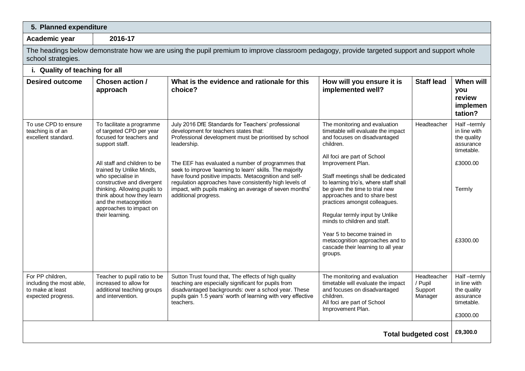| 5. Planned expenditure                                                                                                                                            |                                                                                                                                                                                                                                                                                                                                                         |                                                                                                                                                                                                                                                                                                                                                                                                                                                                                           |                                                                                                                                                                                                                                                                                                                                                                                                                                                                                                                                            |                                              |                                                                                                         |  |
|-------------------------------------------------------------------------------------------------------------------------------------------------------------------|---------------------------------------------------------------------------------------------------------------------------------------------------------------------------------------------------------------------------------------------------------------------------------------------------------------------------------------------------------|-------------------------------------------------------------------------------------------------------------------------------------------------------------------------------------------------------------------------------------------------------------------------------------------------------------------------------------------------------------------------------------------------------------------------------------------------------------------------------------------|--------------------------------------------------------------------------------------------------------------------------------------------------------------------------------------------------------------------------------------------------------------------------------------------------------------------------------------------------------------------------------------------------------------------------------------------------------------------------------------------------------------------------------------------|----------------------------------------------|---------------------------------------------------------------------------------------------------------|--|
| Academic year                                                                                                                                                     | 2016-17                                                                                                                                                                                                                                                                                                                                                 |                                                                                                                                                                                                                                                                                                                                                                                                                                                                                           |                                                                                                                                                                                                                                                                                                                                                                                                                                                                                                                                            |                                              |                                                                                                         |  |
| The headings below demonstrate how we are using the pupil premium to improve classroom pedagogy, provide targeted support and support whole<br>school strategies. |                                                                                                                                                                                                                                                                                                                                                         |                                                                                                                                                                                                                                                                                                                                                                                                                                                                                           |                                                                                                                                                                                                                                                                                                                                                                                                                                                                                                                                            |                                              |                                                                                                         |  |
| i. Quality of teaching for all                                                                                                                                    |                                                                                                                                                                                                                                                                                                                                                         |                                                                                                                                                                                                                                                                                                                                                                                                                                                                                           |                                                                                                                                                                                                                                                                                                                                                                                                                                                                                                                                            |                                              |                                                                                                         |  |
| <b>Desired outcome</b>                                                                                                                                            | Chosen action /<br>approach                                                                                                                                                                                                                                                                                                                             | What is the evidence and rationale for this<br>choice?                                                                                                                                                                                                                                                                                                                                                                                                                                    | How will you ensure it is<br>implemented well?                                                                                                                                                                                                                                                                                                                                                                                                                                                                                             | <b>Staff lead</b>                            | When will<br>you<br>review<br>implemen<br>tation?                                                       |  |
| To use CPD to ensure<br>teaching is of an<br>excellent standard.                                                                                                  | To facilitate a programme<br>of targeted CPD per year<br>focused for teachers and<br>support staff.<br>All staff and children to be<br>trained by Unlike Minds,<br>who specialise in<br>constructive and divergent<br>thinking. Allowing pupils to<br>think about how they learn<br>and the metacognition<br>approaches to impact on<br>their learning. | July 2016 DfE Standards for Teachers' professional<br>development for teachers states that:<br>Professional development must be prioritised by school<br>leadership.<br>The EEF has evaluated a number of programmes that<br>seek to improve 'learning to learn' skills. The majority<br>have found positive impacts. Metacognition and self-<br>regulation approaches have consistently high levels of<br>impact, with pupils making an average of seven months'<br>additional progress. | The monitoring and evaluation<br>timetable will evaluate the impact<br>and focuses on disadvantaged<br>children.<br>All foci are part of School<br>Improvement Plan.<br>Staff meetings shall be dedicated<br>to learning trio's, where staff shall<br>be given the time to trial new<br>approaches and to share best<br>practices amongst colleagues.<br>Regular termly input by Unlike<br>minds to children and staff.<br>Year 5 to become trained in<br>metacognition approaches and to<br>cascade their learning to all year<br>groups. | Headteacher                                  | Half-termly<br>in line with<br>the quality<br>assurance<br>timetable.<br>£3000.00<br>Termly<br>£3300.00 |  |
| For PP children,<br>including the most able,<br>to make at least<br>expected progress.                                                                            | Teacher to pupil ratio to be<br>increased to allow for<br>additional teaching groups<br>and intervention.                                                                                                                                                                                                                                               | Sutton Trust found that, The effects of high quality<br>teaching are especially significant for pupils from<br>disadvantaged backgrounds: over a school year. These<br>pupils gain 1.5 years' worth of learning with very effective<br>teachers.                                                                                                                                                                                                                                          | The monitoring and evaluation<br>timetable will evaluate the impact<br>and focuses on disadvantaged<br>children.<br>All foci are part of School<br>Improvement Plan.                                                                                                                                                                                                                                                                                                                                                                       | Headteacher<br>/ Pupil<br>Support<br>Manager | Half-termly<br>in line with<br>the quality<br>assurance<br>timetable.<br>£3000.00                       |  |
| <b>Total budgeted cost</b>                                                                                                                                        |                                                                                                                                                                                                                                                                                                                                                         |                                                                                                                                                                                                                                                                                                                                                                                                                                                                                           |                                                                                                                                                                                                                                                                                                                                                                                                                                                                                                                                            |                                              | £9,300.0                                                                                                |  |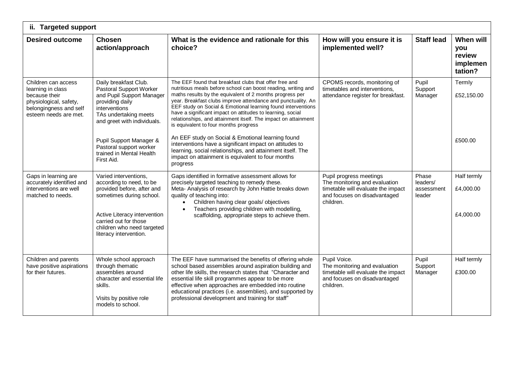| ii. Targeted support                                                                                                                   |                                                                                                                                                                                                                              |                                                                                                                                                                                                                                                                                                                                                                                                                                                                                                                                                   |                                                                                                                                             |                                           |                                                   |  |
|----------------------------------------------------------------------------------------------------------------------------------------|------------------------------------------------------------------------------------------------------------------------------------------------------------------------------------------------------------------------------|---------------------------------------------------------------------------------------------------------------------------------------------------------------------------------------------------------------------------------------------------------------------------------------------------------------------------------------------------------------------------------------------------------------------------------------------------------------------------------------------------------------------------------------------------|---------------------------------------------------------------------------------------------------------------------------------------------|-------------------------------------------|---------------------------------------------------|--|
| <b>Desired outcome</b>                                                                                                                 | <b>Chosen</b><br>action/approach                                                                                                                                                                                             | What is the evidence and rationale for this<br>choice?                                                                                                                                                                                                                                                                                                                                                                                                                                                                                            | How will you ensure it is<br>implemented well?                                                                                              | <b>Staff lead</b>                         | When will<br>you<br>review<br>implemen<br>tation? |  |
| Children can access<br>learning in class<br>because their<br>physiological, safety,<br>belongingness and self<br>esteem needs are met. | Daily breakfast Club.<br>Pastoral Support Worker<br>and Pupil Support Manager<br>providing daily<br>interventions<br>TAs undertaking meets<br>and greet with individuals.<br>Pupil Support Manager &                         | The EEF found that breakfast clubs that offer free and<br>nutritious meals before school can boost reading, writing and<br>maths results by the equivalent of 2 months progress per<br>year. Breakfast clubs improve attendance and punctuality. An<br>EEF study on Social & Emotional learning found interventions<br>have a significant impact on attitudes to learning, social<br>relationships, and attainment itself. The impact on attainment<br>is equivalent to four months progress<br>An EEF study on Social & Emotional learning found | CPOMS records, monitoring of<br>timetables and interventions,<br>attendance register for breakfast.                                         | Pupil<br>Support<br>Manager               | Termly<br>£52,150.00<br>£500.00                   |  |
|                                                                                                                                        | Pastoral support worker<br>trained in Mental Health<br>First Aid.                                                                                                                                                            | interventions have a significant impact on attitudes to<br>learning, social relationships, and attainment itself. The<br>impact on attainment is equivalent to four months<br>progress                                                                                                                                                                                                                                                                                                                                                            |                                                                                                                                             |                                           |                                                   |  |
| Gaps in learning are<br>accurately identified and<br>interventions are well<br>matched to needs.                                       | Varied interventions,<br>according to need, to be<br>provided before, after and<br>sometimes during school.<br>Active Literacy intervention<br>carried out for those<br>children who need targeted<br>literacy intervention. | Gaps identified in formative assessment allows for<br>precisely targeted teaching to remedy these.<br>Meta- Analysis of research by John Hattie breaks down<br>quality of teaching into:<br>Children having clear goals/ objectives<br>Teachers providing children with modelling,<br>scaffolding, appropriate steps to achieve them.                                                                                                                                                                                                             | Pupil progress meetings<br>The monitoring and evaluation<br>timetable will evaluate the impact<br>and focuses on disadvantaged<br>children. | Phase<br>leaders/<br>assessment<br>leader | Half termly<br>£4,000.00<br>£4,000.00             |  |
| Children and parents<br>have positive aspirations<br>for their futures.                                                                | Whole school approach<br>through thematic<br>assemblies around<br>character and essential life<br>skills.<br>Visits by positive role<br>models to school.                                                                    | The EEF have summarised the benefits of offering whole<br>school based assemblies around aspiration building and<br>other life skills, the research states that "Character and<br>essential life skill programmes appear to be more<br>effective when approaches are embedded into routine<br>educational practices (i.e. assemblies), and supported by<br>professional development and training for staff"                                                                                                                                       | Pupil Voice.<br>The monitoring and evaluation<br>timetable will evaluate the impact<br>and focuses on disadvantaged<br>children.            | Pupil<br>Support<br>Manager               | Half termly<br>£300.00                            |  |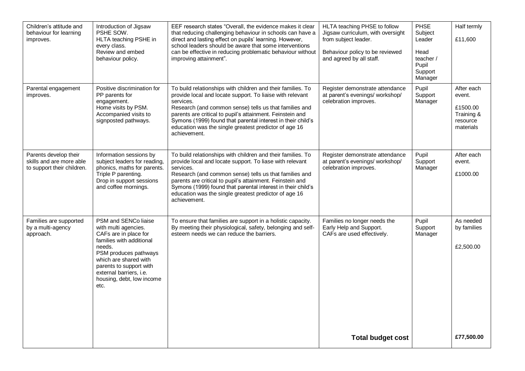| Children's attitude and<br>behaviour for learning<br>improves.                  | Introduction of Jigsaw<br>PSHE SOW.<br>HLTA teaching PSHE in<br>every class.<br>Review and embed<br>behaviour policy.                                                                                                                                    | EEF research states "Overall, the evidence makes it clear<br>that reducing challenging behaviour in schools can have a<br>direct and lasting effect on pupils' learning. However,<br>school leaders should be aware that some interventions<br>can be effective in reducing problematic behaviour without<br>improving attainment".                                                                  | HLTA teaching PHSE to follow<br>Jigsaw curriculum, with oversight<br>from subject leader.<br>Behaviour policy to be reviewed<br>and agreed by all staff. | PHSE<br>Subject<br>Leader<br>Head<br>teacher /<br>Pupil<br>Support<br>Manager | Half termly<br>£11,600                                                  |
|---------------------------------------------------------------------------------|----------------------------------------------------------------------------------------------------------------------------------------------------------------------------------------------------------------------------------------------------------|------------------------------------------------------------------------------------------------------------------------------------------------------------------------------------------------------------------------------------------------------------------------------------------------------------------------------------------------------------------------------------------------------|----------------------------------------------------------------------------------------------------------------------------------------------------------|-------------------------------------------------------------------------------|-------------------------------------------------------------------------|
| Parental engagement<br>improves.                                                | Positive discrimination for<br>PP parents for<br>engagement.<br>Home visits by PSM.<br>Accompanied visits to<br>signposted pathways.                                                                                                                     | To build relationships with children and their families. To<br>provide local and locate support. To liaise with relevant<br>services.<br>Research (and common sense) tells us that families and<br>parents are critical to pupil's attainment. Feinstein and<br>Symons (1999) found that parental interest in their child's<br>education was the single greatest predictor of age 16<br>achievement. | Register demonstrate attendance<br>at parent's evenings/ workshop/<br>celebration improves.                                                              | Pupil<br>Support<br>Manager                                                   | After each<br>event.<br>£1500.00<br>Training &<br>resource<br>materials |
| Parents develop their<br>skills and are more able<br>to support their children. | Information sessions by<br>subject leaders for reading,<br>phonics, maths for parents.<br>Triple P parenting.<br>Drop in support sessions<br>and coffee mornings.                                                                                        | To build relationships with children and their families. To<br>provide local and locate support. To liase with relevant<br>services.<br>Research (and common sense) tells us that families and<br>parents are critical to pupil's attainment. Feinstein and<br>Symons (1999) found that parental interest in their child's<br>education was the single greatest predictor of age 16<br>achievement.  | Register demonstrate attendance<br>at parent's evenings/ workshop/<br>celebration improves.                                                              | Pupil<br>Support<br>Manager                                                   | After each<br>event.<br>£1000.00                                        |
| Families are supported<br>by a multi-agency<br>approach.                        | PSM and SENCo liaise<br>with multi agencies.<br>CAFs are in place for<br>families with additional<br>needs.<br>PSM produces pathways<br>which are shared with<br>parents to support with<br>external barriers, i.e.<br>housing, debt, low income<br>etc. | To ensure that families are support in a holistic capacity.<br>By meeting their physiological, safety, belonging and self-<br>esteem needs we can reduce the barriers.                                                                                                                                                                                                                               | Families no longer needs the<br>Early Help and Support.<br>CAFs are used effectively.                                                                    | Pupil<br>Support<br>Manager                                                   | As needed<br>by families<br>£2,500.00                                   |
|                                                                                 |                                                                                                                                                                                                                                                          |                                                                                                                                                                                                                                                                                                                                                                                                      | <b>Total budget cost</b>                                                                                                                                 |                                                                               | £77,500.00                                                              |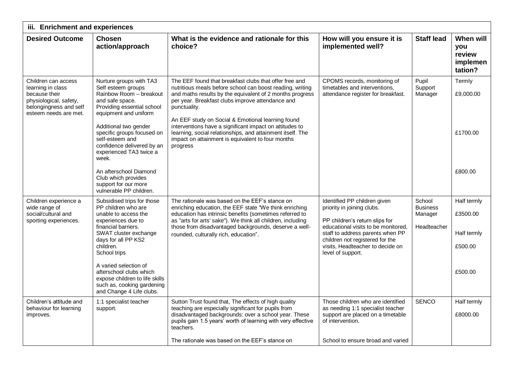| iii. Enrichment and experiences                                                                                                        |                                                                                                                                                                                                                                                                                                                                                     |                                                                                                                                                                                                                                                                                                                                                                                                                                                                                                    |                                                                                                                                                                                                                                                                     |                                                     |                                                              |  |
|----------------------------------------------------------------------------------------------------------------------------------------|-----------------------------------------------------------------------------------------------------------------------------------------------------------------------------------------------------------------------------------------------------------------------------------------------------------------------------------------------------|----------------------------------------------------------------------------------------------------------------------------------------------------------------------------------------------------------------------------------------------------------------------------------------------------------------------------------------------------------------------------------------------------------------------------------------------------------------------------------------------------|---------------------------------------------------------------------------------------------------------------------------------------------------------------------------------------------------------------------------------------------------------------------|-----------------------------------------------------|--------------------------------------------------------------|--|
| <b>Desired Outcome</b>                                                                                                                 | <b>Chosen</b><br>action/approach                                                                                                                                                                                                                                                                                                                    | What is the evidence and rationale for this<br>choice?                                                                                                                                                                                                                                                                                                                                                                                                                                             | How will you ensure it is<br>implemented well?                                                                                                                                                                                                                      | <b>Staff lead</b>                                   | When will<br>you<br>review<br>implemen<br>tation?            |  |
| Children can access<br>learning in class<br>because their<br>physiological, safety,<br>belongingness and self<br>esteem needs are met. | Nurture groups with TA3<br>Self esteem groups<br>Rainbow Room - breakout<br>and safe space.<br>Providing essential school<br>equipment and uniform<br>Additional two gender<br>specific groups focused on<br>self-esteem and<br>confidence delivered by an<br>experienced TA3 twice a<br>week.                                                      | The EEF found that breakfast clubs that offer free and<br>nutritious meals before school can boost reading, writing<br>and maths results by the equivalent of 2 months progress<br>per year. Breakfast clubs improve attendance and<br>punctuality.<br>An EEF study on Social & Emotional learning found<br>interventions have a significant impact on attitudes to<br>learning, social relationships, and attainment itself. The<br>impact on attainment is equivalent to four months<br>progress | CPOMS records, monitoring of<br>timetables and interventions,<br>attendance register for breakfast.                                                                                                                                                                 | Pupil<br>Support<br>Manager                         | Termly<br>£9,000.00<br>£1700.00                              |  |
|                                                                                                                                        | An afterschool Diamond<br>Club which provides<br>support for our more<br>vulnerable PP children.                                                                                                                                                                                                                                                    |                                                                                                                                                                                                                                                                                                                                                                                                                                                                                                    |                                                                                                                                                                                                                                                                     |                                                     | £800.00                                                      |  |
| Children experience a<br>wide range of<br>social/cultural and<br>sporting experiences.                                                 | Subsidised trips for those<br>PP children who are<br>unable to access the<br>experiences due to<br>financial barriers.<br>SWAT cluster exchange<br>days for all PP KS2<br>children.<br>School trips<br>A varied selection of<br>afterschool clubs which<br>expose children to life skills<br>such as, cooking gardening<br>and Change 4 Life clubs. | The rationale was based on the EEF's stance on<br>enriching education, the EEF state "We think enriching<br>education has intrinsic benefits (sometimes referred to<br>as "arts for arts' sake"). We think all children, including<br>those from disadvantaged backgrounds, deserve a well-<br>rounded, culturally rich, education".                                                                                                                                                               | Identified PP children given<br>priority in joining clubs.<br>PP children's return slips for<br>educational visits to be monitored,<br>staff to address parents when PP<br>children not registered for the<br>visits, Headteacher to decide on<br>level of support. | School<br><b>Business</b><br>Manager<br>Headteacher | Half termly<br>£3500.00<br>Half termly<br>£500.00<br>£500.00 |  |
| Children's attitude and<br>behaviour for learning<br>improves.                                                                         | 1:1 specialist teacher<br>support.                                                                                                                                                                                                                                                                                                                  | Sutton Trust found that, The effects of high quality<br>teaching are especially significant for pupils from<br>disadvantaged backgrounds: over a school year. These<br>pupils gain 1.5 years' worth of learning with very effective<br>teachers.<br>The rationale was based on the EEF's stance on                                                                                                                                                                                                 | Those children who are identified<br>as needing 1:1 specialist teacher<br>support are placed on a timetable<br>of intervention.<br>School to ensure broad and varied                                                                                                | <b>SENCO</b>                                        | Half termly<br>£8000.00                                      |  |